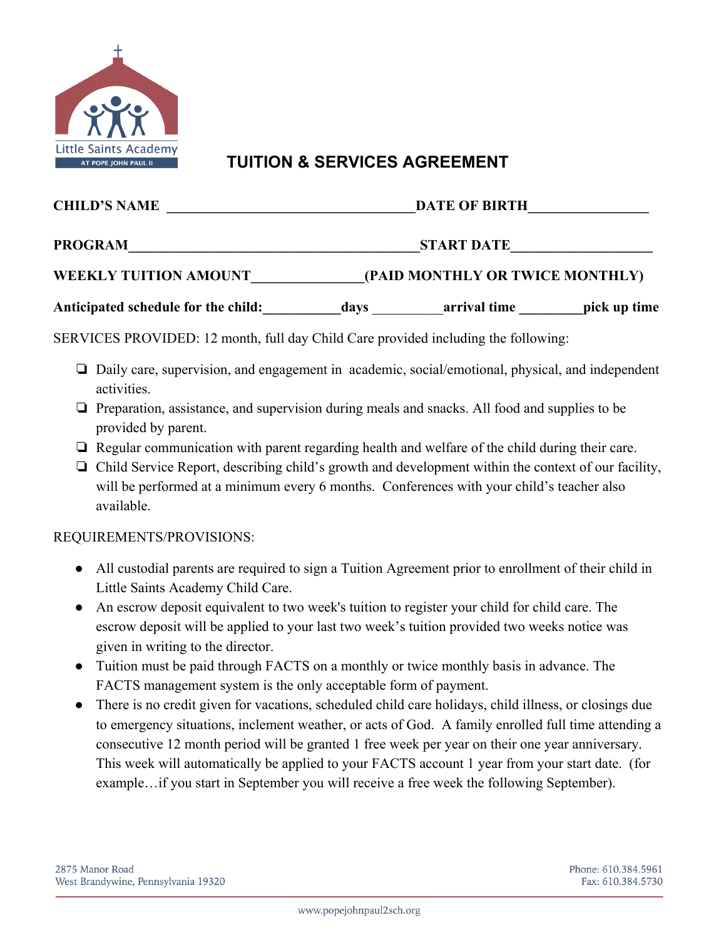

## **TUITION & SERVICES AGREEMENT**

| <b>CHILD'S NAME</b>                                                                                | DATE OF BIRTH<br>START DATE<br>(PAID MONTHLY OR TWICE MONTHLY) |  |  |
|----------------------------------------------------------------------------------------------------|----------------------------------------------------------------|--|--|
| <b>PROGRAM</b>                                                                                     |                                                                |  |  |
| WEEKLY TUITION AMOUNT                                                                              |                                                                |  |  |
| Anticipated schedule for the child: days arrival time pick up time                                 |                                                                |  |  |
| SERVICES PROVIDED: 12 month, full day Child Care provided including the following:                 |                                                                |  |  |
| □ Daily care, supervision, and engagement in academic, social/emotional, physical, and independent |                                                                |  |  |

- activities.
- ❏ Preparation, assistance, and supervision during meals and snacks. All food and supplies to be provided by parent.
- ❏ Regular communication with parent regarding health and welfare of the child during their care.
- ❏ Child Service Report, describing child's growth and development within the context of our facility, will be performed at a minimum every 6 months. Conferences with your child's teacher also available.

## REQUIREMENTS/PROVISIONS:

- All custodial parents are required to sign a Tuition Agreement prior to enrollment of their child in Little Saints Academy Child Care.
- An escrow deposit equivalent to two week's tuition to register your child for child care. The escrow deposit will be applied to your last two week's tuition provided two weeks notice was given in writing to the director.
- Tuition must be paid through FACTS on a monthly or twice monthly basis in advance. The FACTS management system is the only acceptable form of payment.
- There is no credit given for vacations, scheduled child care holidays, child illness, or closings due to emergency situations, inclement weather, or acts of God. A family enrolled full time attending a consecutive 12 month period will be granted 1 free week per year on their one year anniversary. This week will automatically be applied to your FACTS account 1 year from your start date. (for example…if you start in September you will receive a free week the following September).